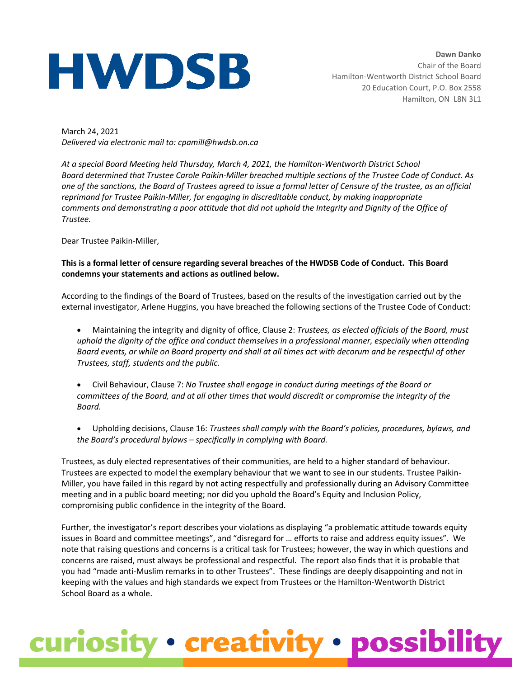## **HWDSB**

**Dawn Danko** Chair of the Board Hamilton-Wentworth District School Board 20 Education Court, P.O. Box 2558 Hamilton, ON L8N 3L1

March 24, 2021 *Delivered via electronic mail to: cpamill@hwdsb.on.ca*

*At a special Board Meeting held Thursday, March 4, 2021, the Hamilton-Wentworth District School Board determined that Trustee Carole Paikin-Miller breached multiple sections of the Trustee Code of Conduct. As one of the sanctions, the Board of Trustees agreed to issue a formal letter of Censure of the trustee, as an official reprimand for Trustee Paikin-Miller, for engaging in discreditable conduct, by making inappropriate comments and demonstrating a poor attitude that did not uphold the Integrity and Dignity of the Office of Trustee.*

Dear Trustee Paikin-Miller,

## **This is a formal letter of censure regarding several breaches of the HWDSB Code of Conduct. This Board condemns your statements and actions as outlined below.**

According to the findings of the Board of Trustees, based on the results of the investigation carried out by the external investigator, Arlene Huggins, you have breached the following sections of the Trustee Code of Conduct:

- Maintaining the integrity and dignity of office, Clause 2: *Trustees, as elected officials of the Board, must uphold the dignity of the office and conduct themselves in a professional manner, especially when attending Board events, or while on Board property and shall at all times act with decorum and be respectful of other Trustees, staff, students and the public.*
- Civil Behaviour, Clause 7: *No Trustee shall engage in conduct during meetings of the Board or committees of the Board, and at all other times that would discredit or compromise the integrity of the Board.*
- Upholding decisions, Clause 16: *Trustees shall comply with the Board's policies, procedures, bylaws, and the Board's procedural bylaws – specifically in complying with Board.*

Trustees, as duly elected representatives of their communities, are held to a higher standard of behaviour. Trustees are expected to model the exemplary behaviour that we want to see in our students. Trustee Paikin-Miller, you have failed in this regard by not acting respectfully and professionally during an Advisory Committee meeting and in a public board meeting; nor did you uphold the Board's Equity and Inclusion Policy, compromising public confidence in the integrity of the Board.

Further, the investigator's report describes your violations as displaying "a problematic attitude towards equity issues in Board and committee meetings", and "disregard for … efforts to raise and address equity issues". We note that raising questions and concerns is a critical task for Trustees; however, the way in which questions and concerns are raised, must always be professional and respectful. The report also finds that it is probable that you had "made anti-Muslim remarks in to other Trustees". These findings are deeply disappointing and not in keeping with the values and high standards we expect from Trustees or the Hamilton-Wentworth District School Board as a whole.

## curiosity · creativity · possibility